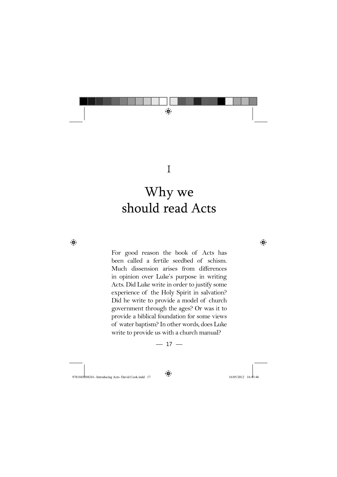

# 1

# Why we should read Acts

◈

For good reason the book of Acts has been called a fertile seedbed of schism. Much dissension arises from differences in opinion over Luke's purpose in writing Acts. Did Luke write in order to justify some experience of the Holy Spirit in salvation? Did he write to provide a model of church government through the ages? Or was it to provide a biblical foundation for some views of water baptism? In other words, does Luke write to provide us with a church manual?

$$
-17-
$$

9781845508241- Introducing Acts- David Cook.indd 17 16/05/2012 16:43:46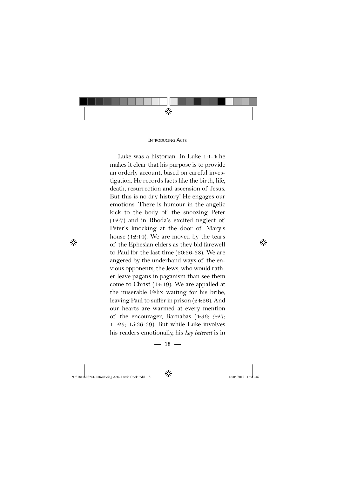

#### **INTRODUCING ACTS**

Luke was a historian. In Luke 1:1-4 he makes it clear that his purpose is to provide an orderly account, based on careful investigation. He records facts like the birth, life, death, resurrection and ascension of Jesus. But this is no dry history! He engages our emotions. There is humour in the angelic kick to the body of the snoozing Peter (12:7) and in Rhoda's excited neglect of Peter's knocking at the door of Mary's house (12:14). We are moved by the tears of the Ephesian elders as they bid farewell to Paul for the last time (20:36-38). We are angered by the underhand ways of the envious opponents, the Jews, who would rather leave pagans in paganism than see them come to Christ (14:19). We are appalled at the miserable Felix waiting for his bribe, leaving Paul to suffer in prison (24:26). And our hearts are warmed at every mention of the encourager, Barnabas (4:36; 9:27; 11:25; 15:36-39). But while Luke involves his readers emotionally, his *key interest* is in

 $-18-$ 

9781845508241- Introducing Acts- David Cook.indd 18 18 16/05/2012 16:43:46 6/05/2012 16:43:46 6/05/2012 16:43:46 6/05/2012 16:43:46 6/05/2012 16:43:46 6/05/2012 16:43:46 6/05/2012 16:43:46 6/05/2012 16:43:46 6/05/2012 16:4

◈

 $\bigoplus$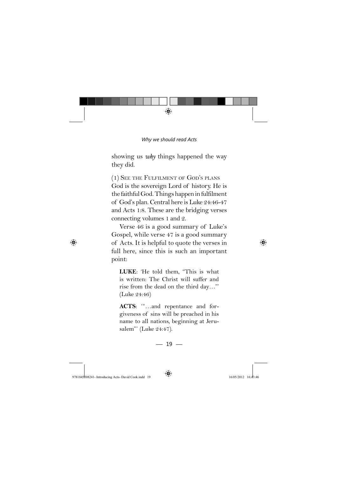

showing us *why* things happened the way they did.

(1) SEE THE FULFILMENT OF GOD'S PLANS God is the sovereign Lord of history. He is the faithful God. Things happen in fulfilment of God's plan. Central here is Luke 24:46-47 and Acts 1:8. These are the bridging verses connecting volumes 1 and 2.

Verse 46 is a good summary of Luke's Gospel, while verse 47 is a good summary of Acts. It is helpful to quote the verses in full here, since this is such an important point:

**LUKE**: 'He told them, "This is what is written: The Christ will suffer and rise from the dead on the third day…"' (Luke 24:46)

**ACTS**: '"…and repentance and forgiveness of sins will be preached in his name to all nations, beginning at Jerusalem"' (Luke 24:47).

## $-19-$

9781845508241- Introducing Acts- David Cook.indd 19 19 16/05/2012 16:43:46 6/05/2012 16:43:46 6/05/2012 16:43:46 6/05/2012 16:43:46 6/05/2012 16:43:46 6/05/2012 16:43:46 6/05/2012 16:43:46 6/05/2012 16:43:46 6/05/2012 16:4

◈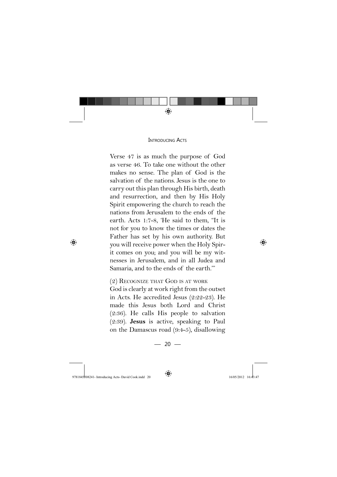

#### **INTRODUCING ACTS**

Verse 47 is as much the purpose of God as verse 46. To take one without the other makes no sense. The plan of God is the salvation of the nations. Jesus is the one to carry out this plan through His birth, death and resurrection, and then by His Holy Spirit empowering the church to reach the nations from Jerusalem to the ends of the earth. Acts 1:7-8, 'He said to them, "It is not for you to know the times or dates the Father has set by his own authority. But you will receive power when the Holy Spirit comes on you; and you will be my witnesses in Jerusalem, and in all Judea and Samaria, and to the ends of the earth."'

(2) RECOGNIZE THAT GOD IS AT WORK God is clearly at work right from the outset in Acts. He accredited Jesus (2:22-23). He made this Jesus both Lord and Christ (2:36). He calls His people to salvation (2:39). **Jesus** is active, speaking to Paul on the Damascus road (9:4-5), disallowing

 $-20 -$ 

9781845508241- Introducing Acts- David Cook.indd 20 16:43:47 605/2012 16:43:47

◈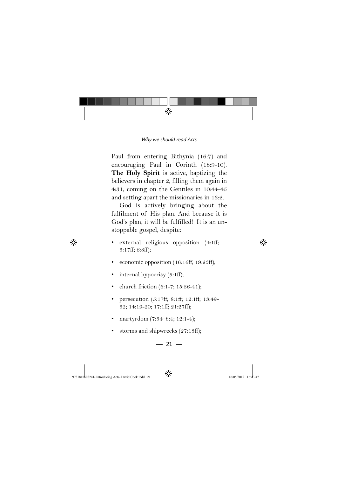

Paul from entering Bithynia (16:7) and encouraging Paul in Corinth (18:9-10). **The Holy Spirit** is active, baptizing the believers in chapter 2, filling them again in 4:31, coming on the Gentiles in 10:44-45 and setting apart the missionaries in 13:2.

God is actively bringing about the fulfilment of His plan. And because it is God's plan, it will be fulfilled! It is an unstoppable gospel, despite:

- external religious opposition (4:1ff; 5:17ff; 6:8ff);
- economic opposition (16:16ff; 19:23ff);
- internal hypocrisy (5:1ff);
- church friction (6:1-7; 15:36-41);
- persecution (5:17ff; 8:1ff; 12:1ff; 13:49- 52; 14:19-20; 17:1ff; 21:27ff);
- martyrdom (7:54–8:4; 12:1-4);
- storms and shipwrecks (27:13ff);

 $-21-$ 

9781845508241- Introducing Acts- David Cook.indd 21 16/05/2012 16:43:47

◈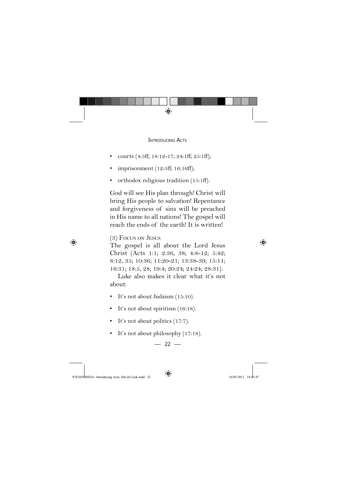

#### **INTRODUCING ACTS**

- courts (4:5ff; 18:12-17; 24:1ff; 25:1ff);
- imprisonment (12:5ff; 16:16ff);
- orthodox religious tradition (15:1ff).

God will see His plan through! Christ will bring His people to salvation! Repentance and forgiveness of sins will be preached in His name to all nations! The gospel will reach the ends of the earth! It is written!

### (3) FOCUS ON JESUS

The gospel is all about the Lord Jesus Christ (Acts 1:1; 2:36, 38; 4:8-12; 5:42; 8:12, 35; 10:36; 11:20-21; 13:38-39; 15:11; 16:31; 18:5, 28; 19:4; 20:24; 24:24; 28:31).

Luke also makes it clear what it's not about:

- It's not about Judaism (15:10).
- It's not about spiritism (16:18).
- It's not about politics (17:7).
- It's not about philosophy (17:18).

$$
-22 -
$$

9781845\the 9781845\the 1508241- Introducing Acts- David Cook.indd 22 78184508241- 16:43:47

$$
\bigcirc\hspace{-0.35em}\bigcirc
$$

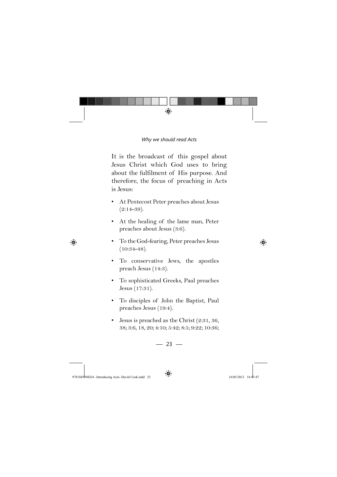

It is the broadcast of this gospel about Jesus Christ which God uses to bring about the fulfilment of His purpose. And therefore, the focus of preaching in Acts is Jesus:

- At Pentecost Peter preaches about Jesus  $(2:14-39)$ .
- At the healing of the lame man, Peter preaches about Jesus (3:6).
- To the God-fearing, Peter preaches Jesus (10:34-48).
- To conservative Jews, the apostles preach Jesus (14:3).
- To sophisticated Greeks, Paul preaches Jesus (17:31).
- To disciples of John the Baptist, Paul preaches Jesus (19:4).
- Jesus is preached as the Christ (2:31, 36, 38; 3:6, 18, 20; 4:10; 5:42; 8:5; 9:22; 10:36;

 $-23-$ 

9781845508241- Introducing Acts- David Cook.indd 23 16/05/2012 16:43:47

◈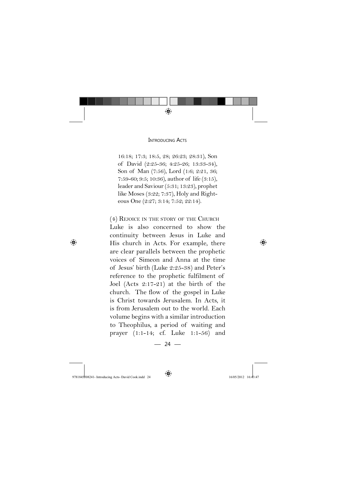

**INTRODUCING ACTS** 

16:18; 17:3; 18:5, 28; 26:23; 28:31), Son of David (2:25-36; 4:25-26; 13:33-34), Son of Man (7:56), Lord (1:6; 2:21, 36; 7:59-60; 9:5; 10:36), author of life (3:15), leader and Saviour (5:31; 13:23), prophet like Moses (3:22; 7:37), Holy and Righteous One (2:27; 3:14; 7:52; 22:14).

(4) REJOICE IN THE STORY OF THE CHURCH Luke is also concerned to show the continuity between Jesus in Luke and His church in Acts. For example, there are clear parallels between the prophetic voices of Simeon and Anna at the time of Jesus' birth (Luke 2:25-38) and Peter's reference to the prophetic fulfilment of Joel (Acts 2:17-21) at the birth of the church. The flow of the gospel in Luke is Christ towards Jerusalem. In Acts, it is from Jerusalem out to the world. Each volume begins with a similar introduction to Theophilus, a period of waiting and prayer (1:1-14; cf. Luke 1:1-56) and

 $-24-$ 

9781845508241- Introducing Acts- David Cook.indd 24 16/05/2012 16:43:47

◈

 $\bigoplus$